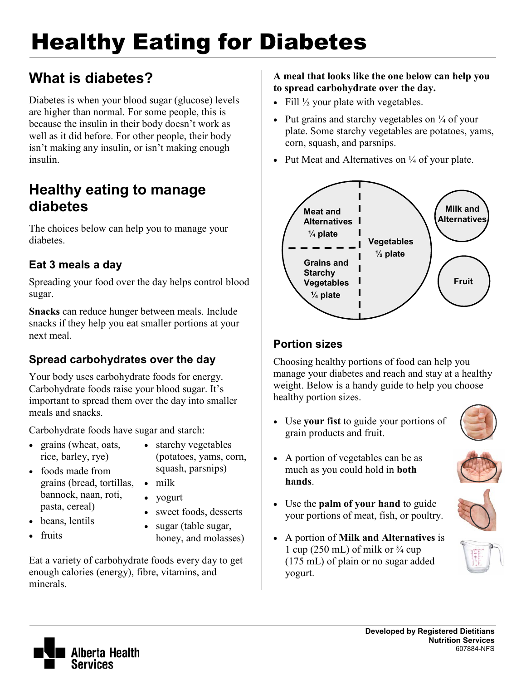# Healthy Eating for Diabetes

# **What is diabetes?**

Diabetes is when your blood sugar (glucose) levels are higher than normal. For some people, this is because the insulin in their body doesn't work as well as it did before. For other people, their body isn't making any insulin, or isn't making enough insulin.

# **Healthy eating to manage diabetes**

The choices below can help you to manage your diabetes.

## **Eat 3 meals a day**

Spreading your food over the day helps control blood sugar.

**Snacks** can reduce hunger between meals. Include snacks if they help you eat smaller portions at your next meal.

# **Spread carbohydrates over the day**

Your body uses carbohydrate foods for energy. Carbohydrate foods raise your blood sugar. It's important to spread them over the day into smaller meals and snacks.

Carbohydrate foods have sugar and starch:

- grains (wheat, oats, rice, barley, rye)
- starchy vegetables (potatoes, yams, corn, squash, parsnips)
- foods made from grains (bread, tortillas, bannock, naan, roti, pasta, cereal)
	- yogurt

• milk

- beans, lentils
- sweet foods, desserts • sugar (table sugar,
- fruits
- honey, and molasses)

Eat a variety of carbohydrate foods every day to get enough calories (energy), fibre, vitamins, and minerals.

#### **A meal that looks like the one below can help you to spread carbohydrate over the day.**

- Fill  $\frac{1}{2}$  your plate with vegetables.
- Put grains and starchy vegetables on  $\frac{1}{4}$  of your plate. Some starchy vegetables are potatoes, yams, corn, squash, and parsnips.
- Put Meat and Alternatives on  $\frac{1}{4}$  of your plate.



### **Portion sizes**

Choosing healthy portions of food can help you manage your diabetes and reach and stay at a healthy weight. Below is a handy guide to help you choose healthy portion sizes.

• Use **your fist** to guide your portions of grain products and fruit.



- A portion of vegetables can be as much as you could hold in **both hands**.
- Use the **palm of your hand** to guide your portions of meat, fish, or poultry.
- A portion of **Milk and Alternatives** is 1 cup (250 mL) of milk or  $\frac{3}{4}$  cup (175 mL) of plain or no sugar added yogurt.







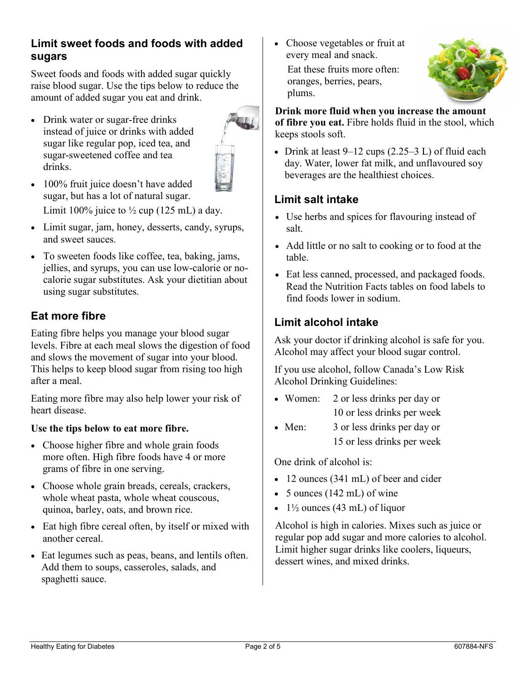#### **Limit sweet foods and foods with added sugars**

Sweet foods and foods with added sugar quickly raise blood sugar. Use the tips below to reduce the amount of added sugar you eat and drink.

• Drink water or sugar-free drinks instead of juice or drinks with added sugar like regular pop, iced tea, and sugar-sweetened coffee and tea drinks.



- 100% fruit juice doesn't have added sugar, but has a lot of natural sugar. Limit 100% juice to  $\frac{1}{2}$  cup (125 mL) a day.
- Limit sugar, jam, honey, desserts, candy, syrups, and sweet sauces.
- To sweeten foods like coffee, tea, baking, jams, jellies, and syrups, you can use low-calorie or nocalorie sugar substitutes. Ask your dietitian about using sugar substitutes.

## **Eat more fibre**

Eating fibre helps you manage your blood sugar levels. Fibre at each meal slows the digestion of food and slows the movement of sugar into your blood. This helps to keep blood sugar from rising too high after a meal.

Eating more fibre may also help lower your risk of heart disease.

#### **Use the tips below to eat more fibre.**

- Choose higher fibre and whole grain foods more often. High fibre foods have 4 or more grams of fibre in one serving.
- Choose whole grain breads, cereals, crackers, whole wheat pasta, whole wheat couscous, quinoa, barley, oats, and brown rice.
- Eat high fibre cereal often, by itself or mixed with another cereal.
- Eat legumes such as peas, beans, and lentils often. Add them to soups, casseroles, salads, and spaghetti sauce.

• Choose vegetables or fruit at every meal and snack.

Eat these fruits more often: oranges, berries, pears, plums.



**Drink more fluid when you increase the amount of fibre you eat.** Fibre holds fluid in the stool, which keeps stools soft.

• Drink at least  $9-12$  cups  $(2.25-3 L)$  of fluid each day. Water, lower fat milk, and unflavoured soy beverages are the healthiest choices.

### **Limit salt intake**

- Use herbs and spices for flavouring instead of salt.
- Add little or no salt to cooking or to food at the table.
- Eat less canned, processed, and packaged foods. Read the Nutrition Facts tables on food labels to find foods lower in sodium.

## **Limit alcohol intake**

Ask your doctor if drinking alcohol is safe for you. Alcohol may affect your blood sugar control.

If you use alcohol, follow Canada's Low Risk Alcohol Drinking Guidelines:

- Women: 2 or less drinks per day or 10 or less drinks per week
- Men: 3 or less drinks per day or 15 or less drinks per week

One drink of alcohol is:

- 12 ounces (341 mL) of beer and cider
- 5 ounces (142 mL) of wine
- $1\frac{1}{2}$  ounces (43 mL) of liquor

Alcohol is high in calories. Mixes such as juice or regular pop add sugar and more calories to alcohol. Limit higher sugar drinks like coolers, liqueurs, dessert wines, and mixed drinks.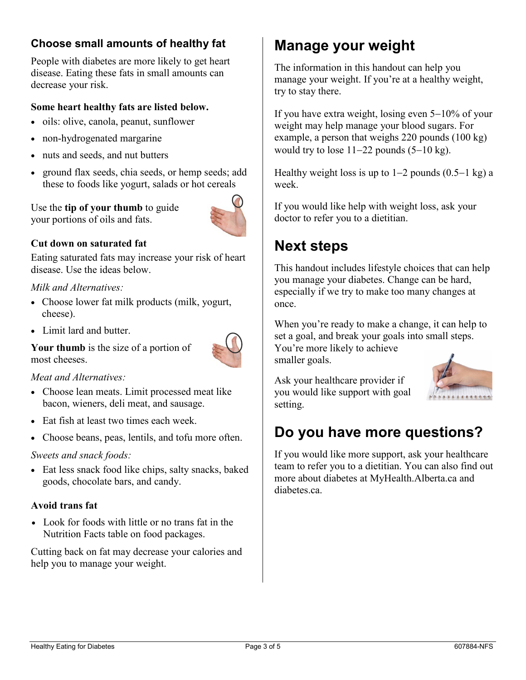### **Choose small amounts of healthy fat**

People with diabetes are more likely to get heart disease. Eating these fats in small amounts can decrease your risk.

#### **Some heart healthy fats are listed below.**

- oils: olive, canola, peanut, sunflower
- non-hydrogenated margarine
- nuts and seeds, and nut butters
- ground flax seeds, chia seeds, or hemp seeds; add these to foods like yogurt, salads or hot cereals

Use the **tip of your thumb** to guide your portions of oils and fats.



#### **Cut down on saturated fat**

Eating saturated fats may increase your risk of heart disease. Use the ideas below.

#### *Milk and Alternatives:*

- Choose lower fat milk products (milk, yogurt, cheese).
- Limit lard and butter.



**Your thumb** is the size of a portion of most cheeses.

#### *Meat and Alternatives:*

- Choose lean meats. Limit processed meat like bacon, wieners, deli meat, and sausage.
- Eat fish at least two times each week.
- Choose beans, peas, lentils, and tofu more often.

#### *Sweets and snack foods:*

• Eat less snack food like chips, salty snacks, baked goods, chocolate bars, and candy.

#### **Avoid trans fat**

• Look for foods with little or no trans fat in the Nutrition Facts table on food packages.

Cutting back on fat may decrease your calories and help you to manage your weight.

# **Manage your weight**

The information in this handout can help you manage your weight. If you're at a healthy weight, try to stay there.

If you have extra weight, losing even 5−10% of your weight may help manage your blood sugars. For example, a person that weighs 220 pounds (100 kg) would try to lose 11−22 pounds (5−10 kg).

Healthy weight loss is up to 1−2 pounds (0.5−1 kg) a week.

If you would like help with weight loss, ask your doctor to refer you to a dietitian.

# **Next steps**

This handout includes lifestyle choices that can help you manage your diabetes. Change can be hard, especially if we try to make too many changes at once.

When you're ready to make a change, it can help to set a goal, and break your goals into small steps.

You're more likely to achieve smaller goals.

Ask your healthcare provider if you would like support with goal setting.



If you would like more support, ask your healthcare team to refer you to a dietitian. You can also find out more about diabetes at MyHealth.Alberta.ca and diabetes ca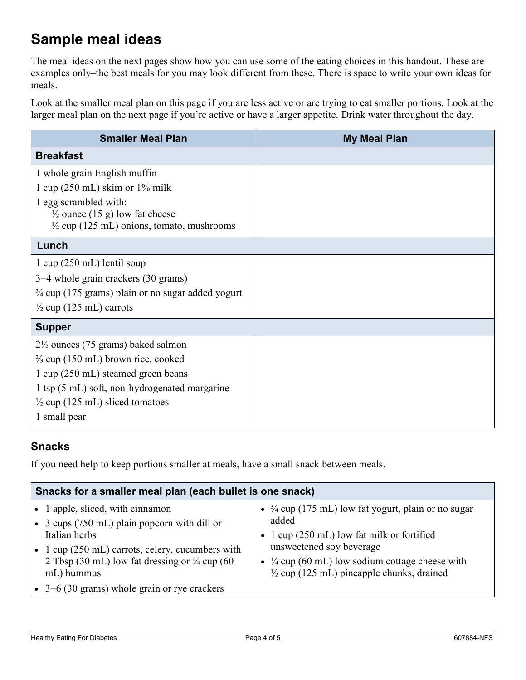# **Sample meal ideas**

The meal ideas on the next pages show how you can use some of the eating choices in this handout. These are examples only–the best meals for you may look different from these. There is space to write your own ideas for meals.

Look at the smaller meal plan on this page if you are less active or are trying to eat smaller portions. Look at the larger meal plan on the next page if you're active or have a larger appetite. Drink water throughout the day.

| <b>Smaller Meal Plan</b>                                     | <b>My Meal Plan</b> |  |  |  |
|--------------------------------------------------------------|---------------------|--|--|--|
| <b>Breakfast</b>                                             |                     |  |  |  |
| 1 whole grain English muffin                                 |                     |  |  |  |
| 1 cup $(250 \text{ mL})$ skim or 1% milk                     |                     |  |  |  |
| 1 egg scrambled with:                                        |                     |  |  |  |
| $\frac{1}{2}$ ounce (15 g) low fat cheese                    |                     |  |  |  |
| $\frac{1}{2}$ cup (125 mL) onions, tomato, mushrooms         |                     |  |  |  |
| Lunch                                                        |                     |  |  |  |
| $1 \text{ cup} (250 \text{ mL})$ lentil soup                 |                     |  |  |  |
| 3–4 whole grain crackers (30 grams)                          |                     |  |  |  |
| $\frac{3}{4}$ cup (175 grams) plain or no sugar added yogurt |                     |  |  |  |
| $\frac{1}{2}$ cup (125 mL) carrots                           |                     |  |  |  |
| <b>Supper</b>                                                |                     |  |  |  |
| $2\frac{1}{2}$ ounces (75 grams) baked salmon                |                     |  |  |  |
| $\frac{2}{3}$ cup (150 mL) brown rice, cooked                |                     |  |  |  |
| 1 cup (250 mL) steamed green beans                           |                     |  |  |  |
| 1 tsp (5 mL) soft, non-hydrogenated margarine                |                     |  |  |  |
| $\frac{1}{2}$ cup (125 mL) sliced tomatoes                   |                     |  |  |  |
| 1 small pear                                                 |                     |  |  |  |

#### **Snacks**

If you need help to keep portions smaller at meals, have a small snack between meals.

| Snacks for a smaller meal plan (each bullet is one snack)  |                                                                |  |  |  |
|------------------------------------------------------------|----------------------------------------------------------------|--|--|--|
| • 1 apple, sliced, with cinnamon                           | • $\frac{3}{4}$ cup (175 mL) low fat yogurt, plain or no sugar |  |  |  |
| • 3 cups (750 mL) plain popcorn with dill or               | added                                                          |  |  |  |
| Italian herbs                                              | • 1 cup $(250 \text{ mL})$ low fat milk or fortified           |  |  |  |
| • 1 cup $(250 \text{ mL})$ carrots, celery, cucumbers with | unsweetened soy beverage                                       |  |  |  |
| 2 Tbsp (30 mL) low fat dressing or $\frac{1}{4}$ cup (60   | • $\frac{1}{4}$ cup (60 mL) low sodium cottage cheese with     |  |  |  |
| mL) hummus                                                 | $\frac{1}{2}$ cup (125 mL) pineapple chunks, drained           |  |  |  |
| $\bullet$ 3–6 (30 grams) whole grain or rye crackers       |                                                                |  |  |  |